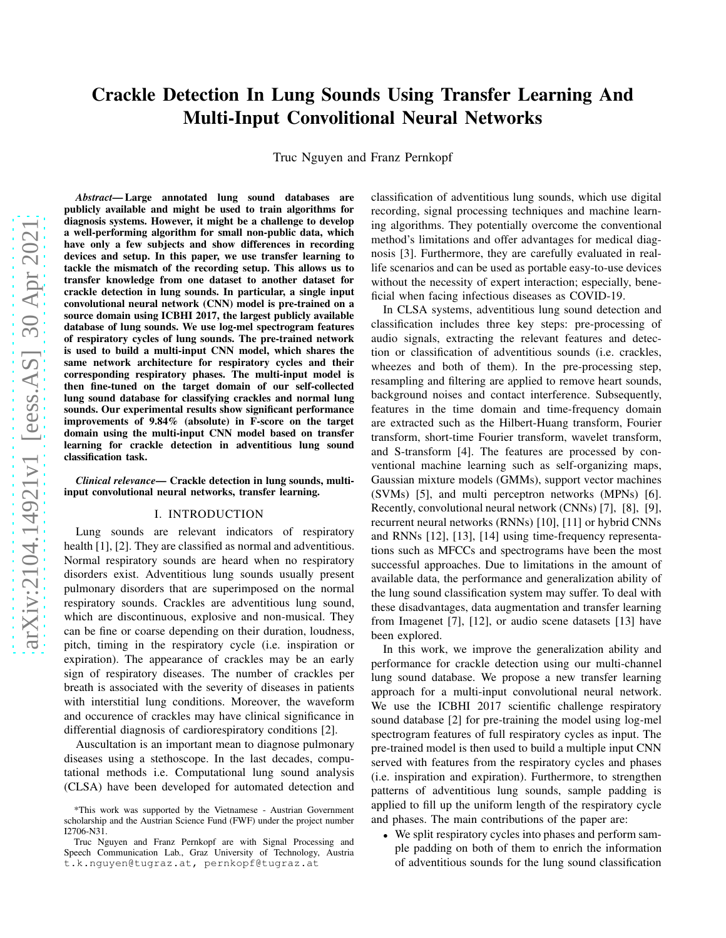# Crackle Detection In Lung Sounds Using Transfer Learning And Multi-Input Convolitional Neural Networks

Truc Nguyen and Franz Pernkopf

*Abstract*— Large annotated lung sound databases are publicly available and might be used to train algorithms for diagnosis systems. However, it might be a challenge to develop a well-performing algorithm for small non-public data, which have only a few subjects and show differences in recording devices and setup. In this paper, we use transfer learning to tackle the mismatch of the recording setup. This allows us to transfer knowledge from one dataset to another dataset for crackle detection in lung sounds. In particular, a single input convolutional neural network (CNN) model is pre-trained on a source domain using ICBHI 2017, the largest publicly available database of lung sounds. We use log-mel spectrogram features of respiratory cycles of lung sounds. The pre-trained network is used to build a multi-input CNN model, which shares the same network architecture for respiratory cycles and their corresponding respiratory phases. The multi-input model is then fine-tuned on the target domain of our self-collected lung sound database for classifying crackles and normal lung sounds. Our experimental results show significant performance improvements of 9.84% (absolute) in F-score on the target domain using the multi-input CNN model based on transfer learning for crackle detection in adventitious lung sound classification task.

*Clinical relevance*— Crackle detection in lung sounds, multiinput convolutional neural networks, transfer learning.

#### I. INTRODUCTION

Lung sounds are relevant indicators of respiratory health [1], [2]. They are classified as normal and adventitious. Normal respiratory sounds are heard when no respiratory disorders exist. Adventitious lung sounds usually present pulmonary disorders that are superimposed on the normal respiratory sounds. Crackles are adventitious lung sound, which are discontinuous, explosive and non-musical. They can be fine or coarse depending on their duration, loudness, pitch, timing in the respiratory cycle (i.e. inspiration or expiration). The appearance of crackles may be an early sign of respiratory diseases. The number of crackles per breath is associated with the severity of diseases in patients with interstitial lung conditions. Moreover, the waveform and occurence of crackles may have clinical significance in differential diagnosis of cardiorespiratory conditions [2].

Auscultation is an important mean to diagnose pulmonary diseases using a stethoscope. In the last decades, computational methods i.e. Computational lung sound analysis (CLSA) have been developed for automated detection and classification of adventitious lung sounds, which use digital recording, signal processing techniques and machine learning algorithms. They potentially overcome the conventional method's limitations and offer advantages for medical diagnosis [3]. Furthermore, they are carefully evaluated in reallife scenarios and can be used as portable easy-to-use devices without the necessity of expert interaction; especially, beneficial when facing infectious diseases as COVID-19.

In CLSA systems, adventitious lung sound detection and classification includes three key steps: pre-processing of audio signals, extracting the relevant features and detection or classification of adventitious sounds (i.e. crackles, wheezes and both of them). In the pre-processing step, resampling and filtering are applied to remove heart sounds, background noises and contact interference. Subsequently, features in the time domain and time-frequency domain are extracted such as the Hilbert-Huang transform, Fourier transform, short-time Fourier transform, wavelet transform, and S-transform [4]. The features are processed by conventional machine learning such as self-organizing maps, Gaussian mixture models (GMMs), support vector machines (SVMs) [5], and multi perceptron networks (MPNs) [6]. Recently, convolutional neural network (CNNs) [7], [8], [9], recurrent neural networks (RNNs) [10], [11] or hybrid CNNs and RNNs [12], [13], [14] using time-frequency representations such as MFCCs and spectrograms have been the most successful approaches. Due to limitations in the amount of available data, the performance and generalization ability of the lung sound classification system may suffer. To deal with these disadvantages, data augmentation and transfer learning from Imagenet [7], [12], or audio scene datasets [13] have been explored.

In this work, we improve the generalization ability and performance for crackle detection using our multi-channel lung sound database. We propose a new transfer learning approach for a multi-input convolutional neural network. We use the ICBHI 2017 scientific challenge respiratory sound database [2] for pre-training the model using log-mel spectrogram features of full respiratory cycles as input. The pre-trained model is then used to build a multiple input CNN served with features from the respiratory cycles and phases (i.e. inspiration and expiration). Furthermore, to strengthen patterns of adventitious lung sounds, sample padding is applied to fill up the uniform length of the respiratory cycle and phases. The main contributions of the paper are:

• We split respiratory cycles into phases and perform sample padding on both of them to enrich the information of adventitious sounds for the lung sound classification

<sup>\*</sup>This work was supported by the Vietnamese - Austrian Government scholarship and the Austrian Science Fund (FWF) under the project number I2706-N31.

Truc Nguyen and Franz Pernkopf are with Signal Processing and Speech Communication Lab., Graz University of Technology, Austria t.k.nguyen@tugraz.at, pernkopf@tugraz.at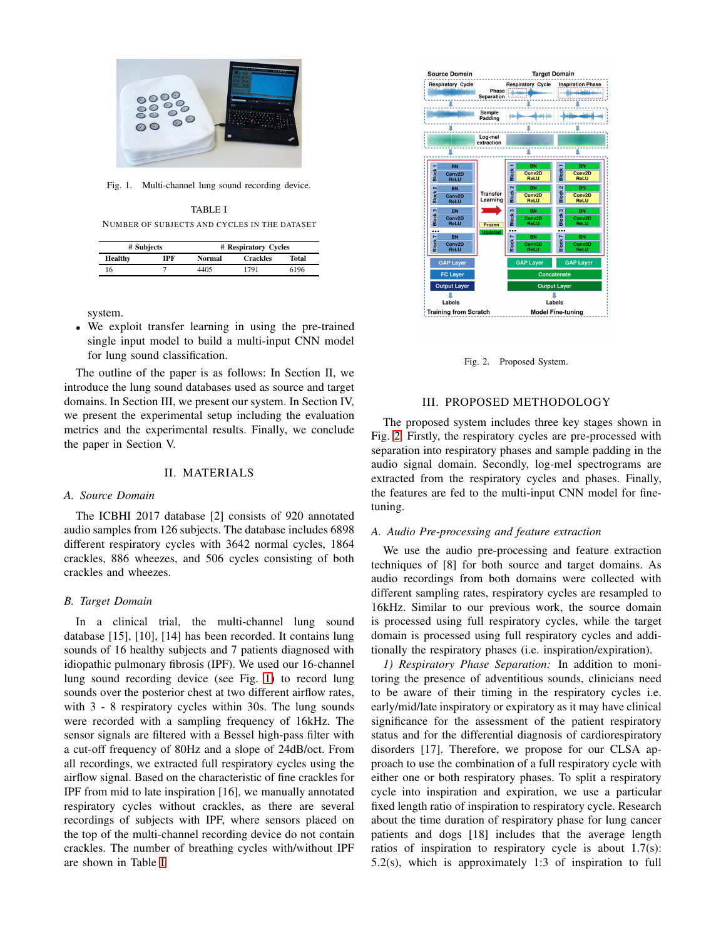

Fig. 1. Multi-channel lung sound recording device.

<span id="page-1-1"></span><span id="page-1-0"></span>TABLE I NUMBER OF SUBJECTS AND CYCLES IN THE DATASET

| # Subjects     |     | # Respiratory Cycles |                 |       |
|----------------|-----|----------------------|-----------------|-------|
| <b>Healthy</b> | IPF | Normal               | <b>Crackles</b> | Total |
| 16             |     | 4405                 | 1791            | 6196  |

system.

• We exploit transfer learning in using the pre-trained single input model to build a multi-input CNN model for lung sound classification.

The outline of the paper is as follows: In Section II, we introduce the lung sound databases used as source and target domains. In Section III, we present our system. In Section IV, we present the experimental setup including the evaluation metrics and the experimental results. Finally, we conclude the paper in Section V.

## II. MATERIALS

#### *A. Source Domain*

The ICBHI 2017 database [2] consists of 920 annotated audio samples from 126 subjects. The database includes 6898 different respiratory cycles with 3642 normal cycles, 1864 crackles, 886 wheezes, and 506 cycles consisting of both crackles and wheezes.

#### *B. Target Domain*

In a clinical trial, the multi-channel lung sound database [15], [10], [14] has been recorded. It contains lung sounds of 16 healthy subjects and 7 patients diagnosed with idiopathic pulmonary fibrosis (IPF). We used our 16-channel lung sound recording device (see Fig. [1\)](#page-1-0) to record lung sounds over the posterior chest at two different airflow rates, with 3 - 8 respiratory cycles within 30s. The lung sounds were recorded with a sampling frequency of 16kHz. The sensor signals are filtered with a Bessel high-pass filter with a cut-off frequency of 80Hz and a slope of 24dB/oct. From all recordings, we extracted full respiratory cycles using the airflow signal. Based on the characteristic of fine crackles for IPF from mid to late inspiration [16], we manually annotated respiratory cycles without crackles, as there are several recordings of subjects with IPF, where sensors placed on the top of the multi-channel recording device do not contain crackles. The number of breathing cycles with/without IPF are shown in Table [I.](#page-1-1)



<span id="page-1-2"></span>Fig. 2. Proposed System.

### III. PROPOSED METHODOLOGY

The proposed system includes three key stages shown in Fig. [2.](#page-1-2) Firstly, the respiratory cycles are pre-processed with separation into respiratory phases and sample padding in the audio signal domain. Secondly, log-mel spectrograms are extracted from the respiratory cycles and phases. Finally, the features are fed to the multi-input CNN model for finetuning.

#### *A. Audio Pre-processing and feature extraction*

We use the audio pre-processing and feature extraction techniques of [8] for both source and target domains. As audio recordings from both domains were collected with different sampling rates, respiratory cycles are resampled to 16kHz. Similar to our previous work, the source domain is processed using full respiratory cycles, while the target domain is processed using full respiratory cycles and additionally the respiratory phases (i.e. inspiration/expiration).

*1) Respiratory Phase Separation:* In addition to monitoring the presence of adventitious sounds, clinicians need to be aware of their timing in the respiratory cycles i.e. early/mid/late inspiratory or expiratory as it may have clinical significance for the assessment of the patient respiratory status and for the differential diagnosis of cardiorespiratory disorders [17]. Therefore, we propose for our CLSA approach to use the combination of a full respiratory cycle with either one or both respiratory phases. To split a respiratory cycle into inspiration and expiration, we use a particular fixed length ratio of inspiration to respiratory cycle. Research about the time duration of respiratory phase for lung cancer patients and dogs [18] includes that the average length ratios of inspiration to respiratory cycle is about 1.7(s): 5.2(s), which is approximately 1:3 of inspiration to full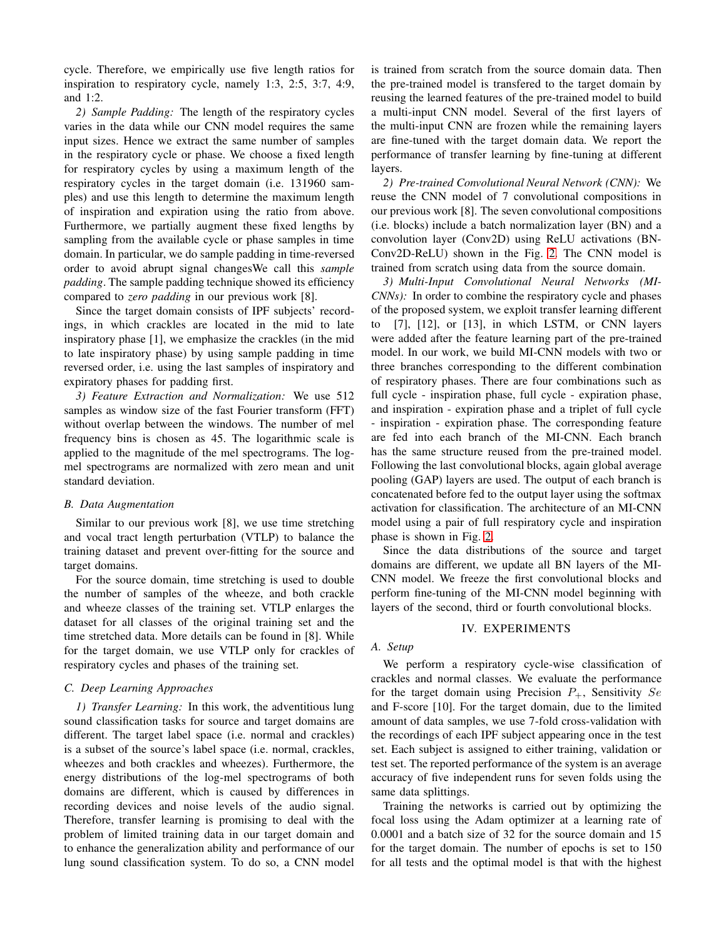cycle. Therefore, we empirically use five length ratios for inspiration to respiratory cycle, namely 1:3, 2:5, 3:7, 4:9, and 1:2.

*2) Sample Padding:* The length of the respiratory cycles varies in the data while our CNN model requires the same input sizes. Hence we extract the same number of samples in the respiratory cycle or phase. We choose a fixed length for respiratory cycles by using a maximum length of the respiratory cycles in the target domain (i.e. 131960 samples) and use this length to determine the maximum length of inspiration and expiration using the ratio from above. Furthermore, we partially augment these fixed lengths by sampling from the available cycle or phase samples in time domain. In particular, we do sample padding in time-reversed order to avoid abrupt signal changesWe call this *sample padding*. The sample padding technique showed its efficiency compared to *zero padding* in our previous work [8].

Since the target domain consists of IPF subjects' recordings, in which crackles are located in the mid to late inspiratory phase [1], we emphasize the crackles (in the mid to late inspiratory phase) by using sample padding in time reversed order, i.e. using the last samples of inspiratory and expiratory phases for padding first.

*3) Feature Extraction and Normalization:* We use 512 samples as window size of the fast Fourier transform (FFT) without overlap between the windows. The number of mel frequency bins is chosen as 45. The logarithmic scale is applied to the magnitude of the mel spectrograms. The logmel spectrograms are normalized with zero mean and unit standard deviation.

#### *B. Data Augmentation*

Similar to our previous work [8], we use time stretching and vocal tract length perturbation (VTLP) to balance the training dataset and prevent over-fitting for the source and target domains.

For the source domain, time stretching is used to double the number of samples of the wheeze, and both crackle and wheeze classes of the training set. VTLP enlarges the dataset for all classes of the original training set and the time stretched data. More details can be found in [8]. While for the target domain, we use VTLP only for crackles of respiratory cycles and phases of the training set.

## *C. Deep Learning Approaches*

*1) Transfer Learning:* In this work, the adventitious lung sound classification tasks for source and target domains are different. The target label space (i.e. normal and crackles) is a subset of the source's label space (i.e. normal, crackles, wheezes and both crackles and wheezes). Furthermore, the energy distributions of the log-mel spectrograms of both domains are different, which is caused by differences in recording devices and noise levels of the audio signal. Therefore, transfer learning is promising to deal with the problem of limited training data in our target domain and to enhance the generalization ability and performance of our lung sound classification system. To do so, a CNN model

is trained from scratch from the source domain data. Then the pre-trained model is transfered to the target domain by reusing the learned features of the pre-trained model to build a multi-input CNN model. Several of the first layers of the multi-input CNN are frozen while the remaining layers are fine-tuned with the target domain data. We report the performance of transfer learning by fine-tuning at different layers.

*2) Pre-trained Convolutional Neural Network (CNN):* We reuse the CNN model of 7 convolutional compositions in our previous work [8]. The seven convolutional compositions (i.e. blocks) include a batch normalization layer (BN) and a convolution layer (Conv2D) using ReLU activations (BN-Conv2D-ReLU) shown in the Fig. [2.](#page-1-2) The CNN model is trained from scratch using data from the source domain.

*3) Multi-Input Convolutional Neural Networks (MI-CNNs):* In order to combine the respiratory cycle and phases of the proposed system, we exploit transfer learning different to [7], [12], or [13], in which LSTM, or CNN layers were added after the feature learning part of the pre-trained model. In our work, we build MI-CNN models with two or three branches corresponding to the different combination of respiratory phases. There are four combinations such as full cycle - inspiration phase, full cycle - expiration phase, and inspiration - expiration phase and a triplet of full cycle - inspiration - expiration phase. The corresponding feature are fed into each branch of the MI-CNN. Each branch has the same structure reused from the pre-trained model. Following the last convolutional blocks, again global average pooling (GAP) layers are used. The output of each branch is concatenated before fed to the output layer using the softmax activation for classification. The architecture of an MI-CNN model using a pair of full respiratory cycle and inspiration phase is shown in Fig. [2.](#page-1-2)

Since the data distributions of the source and target domains are different, we update all BN layers of the MI-CNN model. We freeze the first convolutional blocks and perform fine-tuning of the MI-CNN model beginning with layers of the second, third or fourth convolutional blocks.

#### IV. EXPERIMENTS

#### *A. Setup*

We perform a respiratory cycle-wise classification of crackles and normal classes. We evaluate the performance for the target domain using Precision  $P_+$ , Sensitivity Se and F-score [10]. For the target domain, due to the limited amount of data samples, we use 7-fold cross-validation with the recordings of each IPF subject appearing once in the test set. Each subject is assigned to either training, validation or test set. The reported performance of the system is an average accuracy of five independent runs for seven folds using the same data splittings.

Training the networks is carried out by optimizing the focal loss using the Adam optimizer at a learning rate of 0.0001 and a batch size of 32 for the source domain and 15 for the target domain. The number of epochs is set to 150 for all tests and the optimal model is that with the highest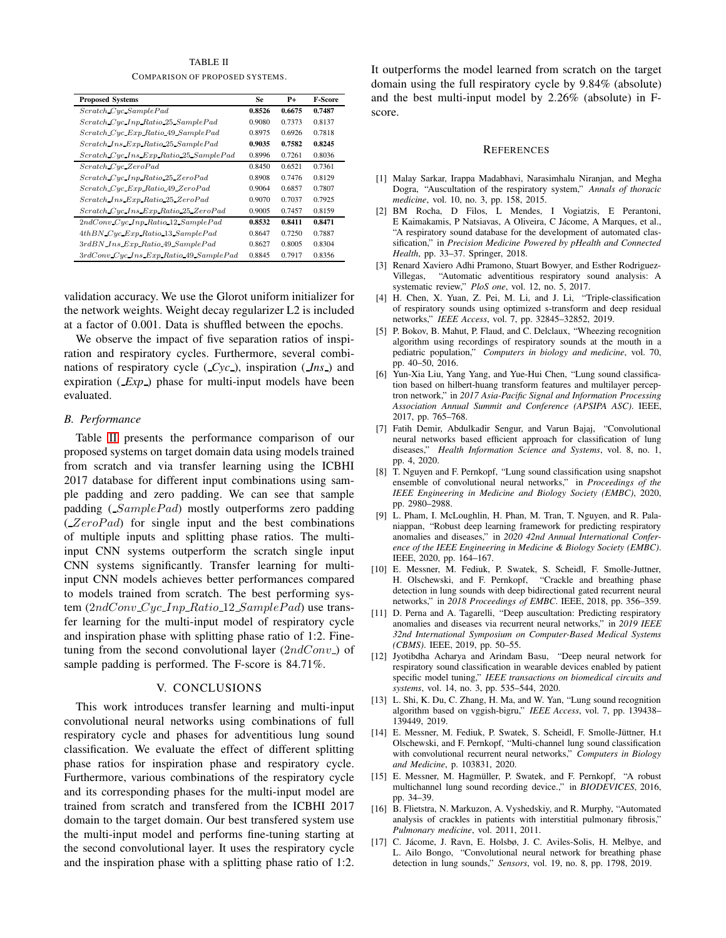TABLE II COMPARISON OF PROPOSED SYSTEMS.

<span id="page-3-0"></span>

| <b>Proposed Systems</b>                  | <b>Se</b>        | P+     | <b>F-Score</b> |
|------------------------------------------|------------------|--------|----------------|
| Scratch Cyc SamplePad                    | 0.8526<br>0.6675 |        | 0.7487         |
| Scratch Cyc Inp Ratio 25 SamplePad       | 0.9080           | 0.7373 | 0.8137         |
| Scratch Cyc Exp Ratio 49 SamplePad       | 0.8975           | 0.6926 | 0.7818         |
| Scratch Ins Exp Ratio 25 SamplePad       | 0.9035           | 0.7582 | 0.8245         |
| Scratch Cyc Ins Exp Ratio 25 SamplePad   | 0.8996           | 0.7261 | 0.8036         |
| Scratch Cyc ZeroPad                      | 0.8450           | 0.6521 | 0.7361         |
| Scratch Cyc Inp Ratio 25 ZeroPad         | 0.8908           | 0.7476 | 0.8129         |
| Scratch Cyc Exp Ratio 49 ZeroPad         | 0.9064           | 0.6857 | 0.7807         |
| Scratch Ins Exp Ratio 25 ZeroPad         | 0.9070           | 0.7037 | 0.7925         |
| Scratch Cyc Ins Exp Ratio 25 ZeroPad     | 0.9005           | 0.7457 | 0.8159         |
| 2ndConv_Cyc_Inp_Ratio_12_SamplePad       | 0.8532           | 0.8411 | 0.8471         |
| 4thBN_Cyc_Exp_Ratio_13_SamplePad         | 0.8647           | 0.7250 | 0.7887         |
| 3rdBN Ins Exp Ratio 49 SamplePad         | 0.8627           | 0.8005 | 0.8304         |
| $3rdConv$ Cyc Ins Exp Ratio 49 SamplePad | 0.8845           | 0.7917 | 0.8356         |

validation accuracy. We use the Glorot uniform initializer for the network weights. Weight decay regularizer L2 is included at a factor of 0.001. Data is shuffled between the epochs.

We observe the impact of five separation ratios of inspiration and respiratory cycles. Furthermore, several combinations of respiratory cycle ( *Cyc* ), inspiration ( *Ins* ) and expiration (*Exp*) phase for multi-input models have been evaluated.

## *B. Performance*

Table [II](#page-3-0) presents the performance comparison of our proposed systems on target domain data using models trained from scratch and via transfer learning using the ICBHI 2017 database for different input combinations using sample padding and zero padding. We can see that sample padding  $(SamplePad)$  mostly outperforms zero padding  $(ZeroPad)$  for single input and the best combinations of multiple inputs and splitting phase ratios. The multiinput CNN systems outperform the scratch single input CNN systems significantly. Transfer learning for multiinput CNN models achieves better performances compared to models trained from scratch. The best performing system  $(2ndConv_Cyc_{Lnp}Ratio_12_SamplePad)$  use transfer learning for the multi-input model of respiratory cycle and inspiration phase with splitting phase ratio of 1:2. Finetuning from the second convolutional layer  $(2ndConv_{-})$  of sample padding is performed. The F-score is 84.71%.

## V. CONCLUSIONS

This work introduces transfer learning and multi-input convolutional neural networks using combinations of full respiratory cycle and phases for adventitious lung sound classification. We evaluate the effect of different splitting phase ratios for inspiration phase and respiratory cycle. Furthermore, various combinations of the respiratory cycle and its corresponding phases for the multi-input model are trained from scratch and transfered from the ICBHI 2017 domain to the target domain. Our best transfered system use the multi-input model and performs fine-tuning starting at the second convolutional layer. It uses the respiratory cycle and the inspiration phase with a splitting phase ratio of 1:2.

It outperforms the model learned from scratch on the target domain using the full respiratory cycle by 9.84% (absolute) and the best multi-input model by 2.26% (absolute) in Fscore.

#### **REFERENCES**

- [1] Malay Sarkar, Irappa Madabhavi, Narasimhalu Niranjan, and Megha Dogra, "Auscultation of the respiratory system," *Annals of thoracic medicine*, vol. 10, no. 3, pp. 158, 2015.
- [2] BM Rocha, D Filos, L Mendes, I Vogiatzis, E Perantoni, E Kaimakamis, P Natsiavas, A Oliveira, C Jácome, A Marques, et al., "A respiratory sound database for the development of automated classification," in *Precision Medicine Powered by pHealth and Connected Health*, pp. 33–37. Springer, 2018.
- [3] Renard Xaviero Adhi Pramono, Stuart Bowyer, and Esther Rodriguez-Villegas, "Automatic adventitious respiratory sound analysis: A systematic review," *PloS one*, vol. 12, no. 5, 2017.
- [4] H. Chen, X. Yuan, Z. Pei, M. Li, and J. Li, "Triple-classification of respiratory sounds using optimized s-transform and deep residual networks," *IEEE Access*, vol. 7, pp. 32845–32852, 2019.
- [5] P. Bokov, B. Mahut, P. Flaud, and C. Delclaux, "Wheezing recognition algorithm using recordings of respiratory sounds at the mouth in a pediatric population," *Computers in biology and medicine*, vol. 70, pp. 40–50, 2016.
- [6] Yun-Xia Liu, Yang Yang, and Yue-Hui Chen, "Lung sound classification based on hilbert-huang transform features and multilayer perceptron network," in *2017 Asia-Pacific Signal and Information Processing Association Annual Summit and Conference (APSIPA ASC)*. IEEE, 2017, pp. 765–768.
- [7] Fatih Demir, Abdulkadir Sengur, and Varun Bajaj, "Convolutional neural networks based efficient approach for classification of lung diseases," *Health Information Science and Systems*, vol. 8, no. 1, pp. 4, 2020.
- [8] T. Nguyen and F. Pernkopf, "Lung sound classification using snapshot ensemble of convolutional neural networks," in *Proceedings of the IEEE Engineering in Medicine and Biology Society (EMBC)*, 2020, pp. 2980–2988.
- [9] L. Pham, I. McLoughlin, H. Phan, M. Tran, T. Nguyen, and R. Palaniappan, "Robust deep learning framework for predicting respiratory anomalies and diseases," in *2020 42nd Annual International Conference of the IEEE Engineering in Medicine & Biology Society (EMBC)*. IEEE, 2020, pp. 164–167.
- [10] E. Messner, M. Fediuk, P. Swatek, S. Scheidl, F. Smolle-Juttner, H. Olschewski, and F. Pernkopf, "Crackle and breathing phase detection in lung sounds with deep bidirectional gated recurrent neural networks," in *2018 Proceedings of EMBC*. IEEE, 2018, pp. 356–359.
- [11] D. Perna and A. Tagarelli, "Deep auscultation: Predicting respiratory anomalies and diseases via recurrent neural networks," in *2019 IEEE 32nd International Symposium on Computer-Based Medical Systems (CBMS)*. IEEE, 2019, pp. 50–55.
- [12] Jyotibdha Acharya and Arindam Basu, "Deep neural network for respiratory sound classification in wearable devices enabled by patient specific model tuning," *IEEE transactions on biomedical circuits and systems*, vol. 14, no. 3, pp. 535–544, 2020.
- [13] L. Shi, K. Du, C. Zhang, H. Ma, and W. Yan, "Lung sound recognition algorithm based on vggish-bigru," *IEEE Access*, vol. 7, pp. 139438– 139449, 2019.
- [14] E. Messner, M. Fediuk, P. Swatek, S. Scheidl, F. Smolle-Jüttner. H.t. Olschewski, and F. Pernkopf, "Multi-channel lung sound classification with convolutional recurrent neural networks," *Computers in Biology and Medicine*, p. 103831, 2020.
- [15] E. Messner, M. Hagmüller, P. Swatek, and F. Pernkopf, "A robust multichannel lung sound recording device.," in *BIODEVICES*, 2016, pp. 34–39.
- [16] B. Flietstra, N. Markuzon, A. Vyshedskiy, and R. Murphy, "Automated analysis of crackles in patients with interstitial pulmonary fibrosis," *Pulmonary medicine*, vol. 2011, 2011.
- [17] C. Jácome, J. Ravn, E. Holsbø, J. C. Aviles-Solis, H. Melbye, and L. Ailo Bongo, "Convolutional neural network for breathing phase detection in lung sounds," *Sensors*, vol. 19, no. 8, pp. 1798, 2019.